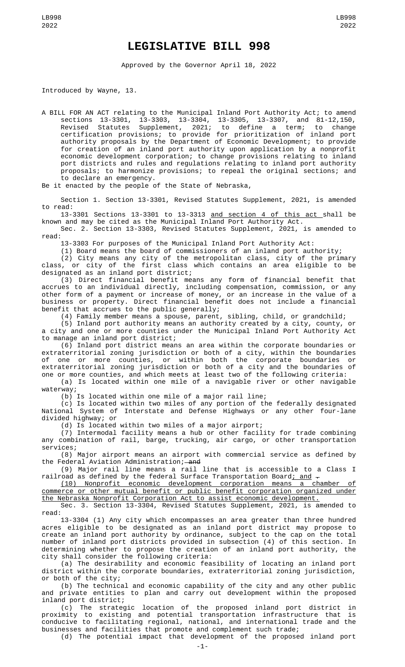## **LEGISLATIVE BILL 998**

Approved by the Governor April 18, 2022

Introduced by Wayne, 13.

A BILL FOR AN ACT relating to the Municipal Inland Port Authority Act; to amend sections 13-3301, 13-3303, 13-3304, 13-3305, 13-3307, and 81-12,150, Revised Statutes Supplement, 2021; to define a term; to change certification provisions; to provide for prioritization of inland port authority proposals by the Department of Economic Development; to provide for creation of an inland port authority upon application by a nonprofit economic development corporation; to change provisions relating to inland port districts and rules and regulations relating to inland port authority proposals; to harmonize provisions; to repeal the original sections; and to declare an emergency.

Be it enacted by the people of the State of Nebraska,

Section 1. Section 13-3301, Revised Statutes Supplement, 2021, is amended to read:

13-3301 Sections 13-3301 to 13-3313 <u>and section 4 of this act s</u>hall be known and may be cited as the Municipal Inland Port Authority Act.

Sec. 2. Section 13-3303, Revised Statutes Supplement, 2021, is amended to read:

13-3303 For purposes of the Municipal Inland Port Authority Act:

(1) Board means the board of commissioners of an inland port authority;

(2) City means any city of the metropolitan class, city of the primary class, or city of the first class which contains an area eligible to be designated as an inland port district;

(3) Direct financial benefit means any form of financial benefit that accrues to an individual directly, including compensation, commission, or any other form of a payment or increase of money, or an increase in the value of a business or property. Direct financial benefit does not include a financial benefit that accrues to the public generally;

(4) Family member means a spouse, parent, sibling, child, or grandchild;

(5) Inland port authority means an authority created by a city, county, or a city and one or more counties under the Municipal Inland Port Authority Act to manage an inland port district;

(6) Inland port district means an area within the corporate boundaries or extraterritorial zoning jurisdiction or both of a city, within the boundaries of one or more counties, or within both the corporate boundaries or extraterritorial zoning jurisdiction or both of a city and the boundaries of one or more counties, and which meets at least two of the following criteria:

(a) Is located within one mile of a navigable river or other navigable waterway;

(b) Is located within one mile of a major rail line;

(c) Is located within two miles of any portion of the federally designated National System of Interstate and Defense Highways or any other four-lane divided highway; or

(d) Is located within two miles of a major airport;

(7) Intermodal facility means a hub or other facility for trade combining any combination of rail, barge, trucking, air cargo, or other transportation services;

(8) Major airport means an airport with commercial service as defined by the Federal Aviation Administration; and

(9) Major rail line means a rail line that is accessible to a Class I railroad as defined by the federal Surface Transportation Board; and  $-$ 

(10) Nonprofit economic development corporation means a chamber of commerce or other mutual benefit or public benefit corporation organized under the Nebraska Nonprofit Corporation Act to assist economic development.

Sec. 3. Section 13-3304, Revised Statutes Supplement, 2021, is amended to read:

13-3304 (1) Any city which encompasses an area greater than three hundred acres eligible to be designated as an inland port district may propose to create an inland port authority by ordinance, subject to the cap on the total number of inland port districts provided in subsection (4) of this section. In determining whether to propose the creation of an inland port authority, the city shall consider the following criteria:

(a) The desirability and economic feasibility of locating an inland port district within the corporate boundaries, extraterritorial zoning jurisdiction, or both of the city;

(b) The technical and economic capability of the city and any other public and private entities to plan and carry out development within the proposed inland port district;

(c) The strategic location of the proposed inland port district in proximity to existing and potential transportation infrastructure that is conducive to facilitating regional, national, and international trade and the businesses and facilities that promote and complement such trade; (d) The potential impact that development of the proposed inland port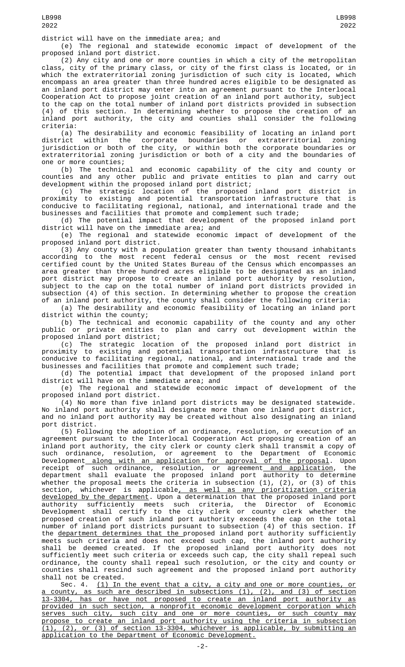district will have on the immediate area; and

(e) The regional and statewide economic impact of development of the proposed inland port district.

(2) Any city and one or more counties in which a city of the metropolitan class, city of the primary class, or city of the first class is located, or in which the extraterritorial zoning jurisdiction of such city is located, which encompass an area greater than three hundred acres eligible to be designated as an inland port district may enter into an agreement pursuant to the Interlocal Cooperation Act to propose joint creation of an inland port authority, subject to the cap on the total number of inland port districts provided in subsection (4) of this section. In determining whether to propose the creation of an inland port authority, the city and counties shall consider the following criteria:

(a) The desirability and economic feasibility of locating an inland port district within the corporate boundaries or extraterritorial zoning jurisdiction or both of the city, or within both the corporate boundaries or extraterritorial zoning jurisdiction or both of a city and the boundaries of one or more counties;

(b) The technical and economic capability of the city and county or counties and any other public and private entities to plan and carry out development within the proposed inland port district;

(c) The strategic location of the proposed inland port district in proximity to existing and potential transportation infrastructure that is conducive to facilitating regional, national, and international trade and the businesses and facilities that promote and complement such trade;

(d) The potential impact that development of the proposed inland port district will have on the immediate area; and

(e) The regional and statewide economic impact of development of the proposed inland port district.

(3) Any county with a population greater than twenty thousand inhabitants according to the most recent federal census or the most recent revised certified count by the United States Bureau of the Census which encompasses an area greater than three hundred acres eligible to be designated as an inland port district may propose to create an inland port authority by resolution, subject to the cap on the total number of inland port districts provided in subsection (4) of this section. In determining whether to propose the creation of an inland port authority, the county shall consider the following criteria:

(a) The desirability and economic feasibility of locating an inland port district within the county;

(b) The technical and economic capability of the county and any other public or private entities to plan and carry out development within the proposed inland port district;

(c) The strategic location of the proposed inland port district in proximity to existing and potential transportation infrastructure that is conducive to facilitating regional, national, and international trade and the businesses and facilities that promote and complement such trade;

(d) The potential impact that development of the proposed inland port district will have on the immediate area; and

(e) The regional and statewide economic impact of development of the proposed inland port district.

(4) No more than five inland port districts may be designated statewide. No inland port authority shall designate more than one inland port district, and no inland port authority may be created without also designating an inland port district.

(5) Following the adoption of an ordinance, resolution, or execution of an agreement pursuant to the Interlocal Cooperation Act proposing creation of an inland port authority, the city clerk or county clerk shall transmit a copy of such ordinance, resolution, or agreement to the Department of Economic Development<u> along with an application for approval of the proposal</u>. Upon receipt of such ordinance, resolution, or agreement<u> and application</u>, the department shall evaluate the proposed inland port authority to determine whether the proposal meets the criteria in subsection (1), (2), or (3) of this section, whichever is applicable<u>, as well as any prioritization criteria</u> developed by the department. Upon a determination that the proposed inland port authority sufficiently meets such criteria, the Director of Economic Development shall certify to the city clerk or county clerk whether the proposed creation of such inland port authority exceeds the cap on the total number of inland port districts pursuant to subsection (4) of this section. If the <u>department determines that the </u>proposed inland port authority sufficiently meets such criteria and does not exceed such cap, the inland port authority shall be deemed created. If the proposed inland port authority does not sufficiently meet such criteria or exceeds such cap, the city shall repeal such ordinance, the county shall repeal such resolution, or the city and county or counties shall rescind such agreement and the proposed inland port authority shall not be created.

Sec. 4. (1) In the event that a city, a city and one or more counties, or a county, as such are described in subsections (1), (2), and (3) of section 13-3304, has or have not proposed to create an inland port authority as provided in such section, a nonprofit economic development corporation which serves such city, such city and one or more counties, or such county may propose to create an inland port authority using the criteria in subsection (1), (2), or (3) of section 13-3304, whichever is applicable, by submitting an application to the Department of Economic Development.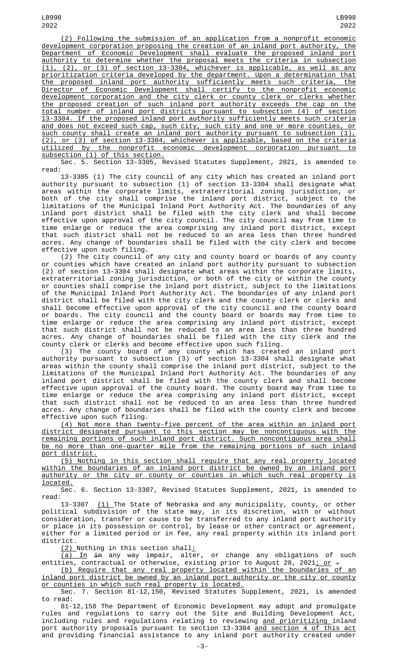(2) Following the submission of an application from a nonprofit economic development corporation proposing the creation of an inland port authority, the Department of Economic Development shall evaluate the proposed inland port authority to determine whether the proposal meets the criteria in subsection (1), (2), or (3) of section 13-3304, whichever is applicable, as well as any prioritization criteria developed by the department. Upon a determination that the proposed inland port authority sufficiently meets such criteria, the Director of Economic Development shall certify to the nonprofit economic development corporation and the city clerk or county clerk or clerks whether the proposed creation of such inland port authority exceeds the cap on the total number of inland port districts pursuant to subsection (4) of section 13-3304. If the proposed inland port authority sufficiently meets such criteria and does not exceed such cap, such city, such city and one or more counties, or such county shall create an inland port authority pursuant to subsection (1), (2), or (3) of section 13-3304, whichever is applicable, based on the criteria utilized by the nonprofit economic development corporation pursuant to subsection (1) of this section.

Sec. 5. Section 13-3305, Revised Statutes Supplement, 2021, is amended to read:

13-3305 (1) The city council of any city which has created an inland port authority pursuant to subsection (1) of section 13-3304 shall designate what areas within the corporate limits, extraterritorial zoning jurisdiction, or both of the city shall comprise the inland port district, subject to the limitations of the Municipal Inland Port Authority Act. The boundaries of any inland port district shall be filed with the city clerk and shall become effective upon approval of the city council. The city council may from time to time enlarge or reduce the area comprising any inland port district, except that such district shall not be reduced to an area less than three hundred acres. Any change of boundaries shall be filed with the city clerk and become effective upon such filing.

(2) The city council of any city and county board or boards of any county or counties which have created an inland port authority pursuant to subsection (2) of section 13-3304 shall designate what areas within the corporate limits, extraterritorial zoning jurisdiction, or both of the city or within the county or counties shall comprise the inland port district, subject to the limitations of the Municipal Inland Port Authority Act. The boundaries of any inland port district shall be filed with the city clerk and the county clerk or clerks and shall become effective upon approval of the city council and the county board or boards. The city council and the county board or boards may from time to time enlarge or reduce the area comprising any inland port district, except that such district shall not be reduced to an area less than three hundred acres. Any change of boundaries shall be filed with the city clerk and the county clerk or clerks and become effective upon such filing.

(3) The county board of any county which has created an inland port authority pursuant to subsection (3) of section 13-3304 shall designate what areas within the county shall comprise the inland port district, subject to the limitations of the Municipal Inland Port Authority Act. The boundaries of any inland port district shall be filed with the county clerk and shall become effective upon approval of the county board. The county board may from time to time enlarge or reduce the area comprising any inland port district, except that such district shall not be reduced to an area less than three hundred acres. Any change of boundaries shall be filed with the county clerk and become effective upon such filing.

(4) Not more than twenty-five percent of the area within an inland port district designated pursuant to this section may be noncontiguous with the remaining portions of such inland port district. Such noncontiguous area shall be no more than one-quarter mile from the remaining portions of such inland port district.

(5) Nothing in this section shall require that any real property located within the boundaries of an inland port district be owned by an inland port authority or the city or county or counties in which such real property is located.

Sec. 6. Section 13-3307, Revised Statutes Supplement, 2021, is amended to read:

13-3307 <u>(1) </u>The State of Nebraska and any municipality, county, or other political subdivision of the state may, in its discretion, with or without consideration, transfer or cause to be transferred to any inland port authority or place in its possession or control, by lease or other contract or agreement, either for a limited period or in fee, any real property within its inland port district.

(2) Nothing in this section shall:

<u>(a) In</u> <del>in</del> any way impair, alter, or change any obligations of such entities, contractual or otherwise, existing prior to August 28, 2021<u>; or</u>  $\hbox{-}$ 

(b) Require that any real property located within the boundaries of an inland port district be owned by an inland port authority or the city or county <u>or counties in which such real property is located.</u>

Sec. 7. Section 81-12,150, Revised Statutes Supplement, 2021, is amended to read:

81-12,150 The Department of Economic Development may adopt and promulgate rules and regulations to carry out the Site and Building Development Act, including rules and regulations relating to reviewing <u>and prioritizing </u>inland port authority proposals pursuant to section 13-3304 <u>and section 4 of this act</u> and providing financial assistance to any inland port authority created under